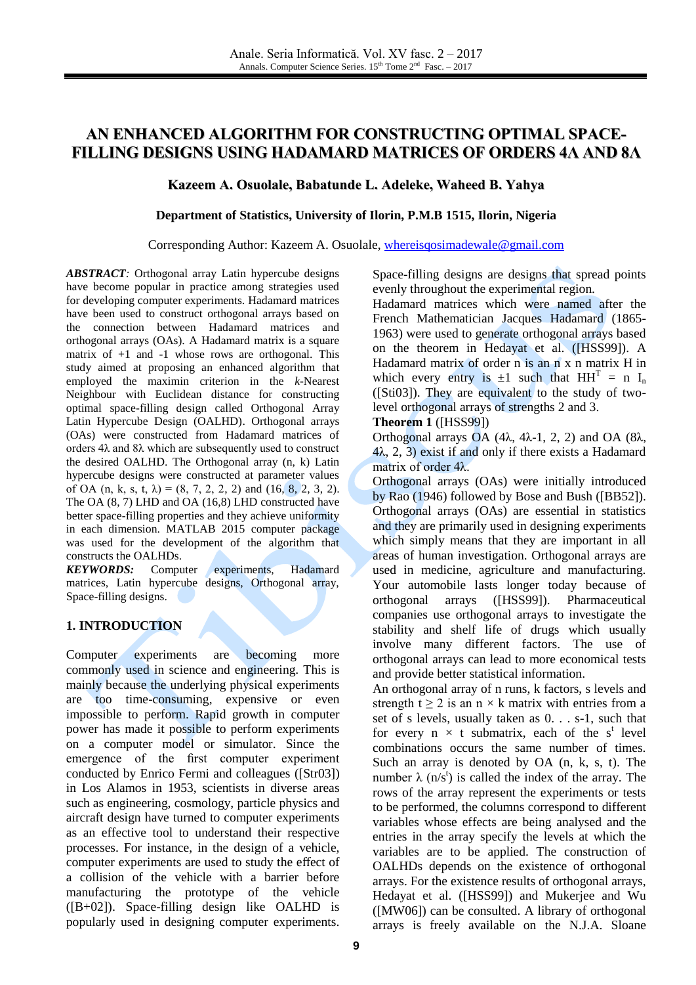# **AN ENHANCED ALGORITHM FOR CONSTRUCTING OPTIMAL SPACE-FILLING DESIGNS USING HADAMARD MATRICES OF ORDERS 4Λ AND 8Λ**

### **Kazeem A. Osuolale, Babatunde L. Adeleke, Waheed B. Yahya**

#### **Department of Statistics, University of Ilorin, P.M.B 1515, Ilorin, Nigeria**

#### Corresponding Author: Kazeem A. Osuolale, [whereisqosimadewale@gmail.com](mailto:whereisqosimadewale@gmail.com)

*ABSTRACT:* Orthogonal array Latin hypercube designs have become popular in practice among strategies used for developing computer experiments. Hadamard matrices have been used to construct orthogonal arrays based on the connection between Hadamard matrices and orthogonal arrays (OAs). A Hadamard matrix is a square matrix of  $+1$  and  $-1$  whose rows are orthogonal. This study aimed at proposing an enhanced algorithm that employed the maximin criterion in the *k*-Nearest Neighbour with Euclidean distance for constructing optimal space-filling design called Orthogonal Array Latin Hypercube Design (OALHD). Orthogonal arrays (OAs) were constructed from Hadamard matrices of orders 4λ and 8λ which are subsequently used to construct the desired OALHD. The Orthogonal array (n, k) Latin hypercube designs were constructed at parameter values of OA (n, k, s, t,  $\lambda$ ) = (8, 7, 2, 2, 2) and (16, 8, 2, 3, 2). The OA (8, 7) LHD and OA (16,8) LHD constructed have better space-filling properties and they achieve uniformity in each dimension. MATLAB 2015 computer package was used for the development of the algorithm that constructs the OALHDs.

**KEYWORDS:** Computer experiments, Hadamard matrices, Latin hypercube designs, Orthogonal array, Space-filling designs.

### **1. INTRODUCTION**

Computer experiments are becoming more commonly used in science and engineering. This is mainly because the underlying physical experiments are too time-consuming, expensive or even impossible to perform. Rapid growth in computer power has made it possible to perform experiments on a computer model or simulator. Since the emergence of the first computer experiment conducted by Enrico Fermi and colleagues ([Str03]) in Los Alamos in 1953, scientists in diverse areas such as engineering, cosmology, particle physics and aircraft design have turned to computer experiments as an effective tool to understand their respective processes. For instance, in the design of a vehicle, computer experiments are used to study the effect of a collision of the vehicle with a barrier before manufacturing the prototype of the vehicle  $([B+02])$ . Space-filling design like OALHD is popularly used in designing computer experiments.

Space-filling designs are designs that spread points evenly throughout the experimental region.

Hadamard matrices which were named after the French Mathematician Jacques Hadamard (1865- 1963) were used to generate orthogonal arrays based on the theorem in Hedayat et al. ([HSS99]). A Hadamard matrix of order n is an n x n matrix H in which every entry is  $\pm 1$  such that  $HH<sup>T</sup> = n I<sub>n</sub>$ ([Sti03]). They are equivalent to the study of twolevel orthogonal arrays of strengths 2 and 3.

#### **Theorem 1** ([HSS99])

Orthogonal arrays OA (4λ, 4λ-1, 2, 2) and OA (8λ,  $4\lambda$ , 2, 3) exist if and only if there exists a Hadamard matrix of order 4λ.

Orthogonal arrays (OAs) were initially introduced by Rao (1946) followed by Bose and Bush ([BB52]). Orthogonal arrays (OAs) are essential in statistics and they are primarily used in designing experiments which simply means that they are important in all areas of human investigation. Orthogonal arrays are used in medicine, agriculture and manufacturing. Your automobile lasts longer today because of orthogonal arrays ([HSS99]). Pharmaceutical companies use orthogonal arrays to investigate the stability and shelf life of drugs which usually involve many different factors. The use of orthogonal arrays can lead to more economical tests and provide better statistical information.

An orthogonal array of n runs, k factors, s levels and strength t  $\geq 2$  is an n  $\times$  k matrix with entries from a set of s levels, usually taken as 0. . . s-1, such that for every  $n \times t$  submatrix, each of the s<sup>t</sup> level combinations occurs the same number of times. Such an array is denoted by OA (n, k, s, t). The number  $\lambda$  (n/s<sup>t</sup>) is called the index of the array. The rows of the array represent the experiments or tests to be performed, the columns correspond to different variables whose effects are being analysed and the entries in the array specify the levels at which the variables are to be applied. The construction of OALHDs depends on the existence of orthogonal arrays. For the existence results of orthogonal arrays, Hedayat et al. ([HSS99]) and Mukerjee and Wu ([MW06]) can be consulted. A library of orthogonal arrays is freely available on the N.J.A. Sloane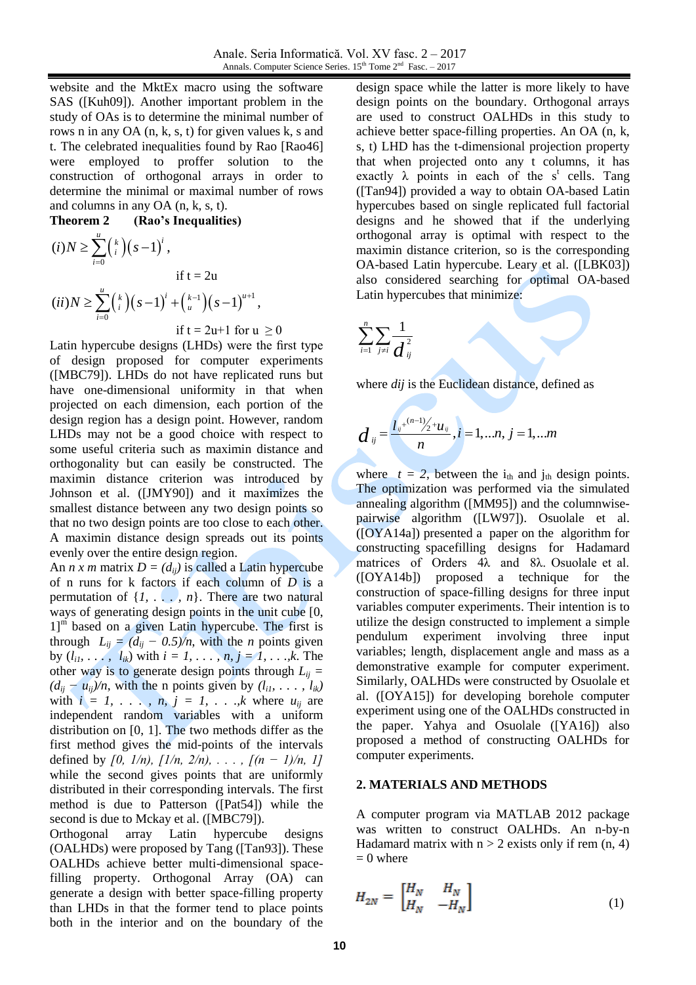website and the MktEx macro using the software SAS ([Kuh09]). Another important problem in the study of OAs is to determine the minimal number of rows n in any OA (n, k, s, t) for given values k, s and t. The celebrated inequalities found by Rao [Rao46] were employed to proffer solution to the construction of orthogonal arrays in order to determine the minimal or maximal number of rows and columns in any OA (n, k, s, t).

**Theorem 2 (Rao's Inequalities)**  $\binom{k}{i}(s-1)^{i}$ 0  $(i) N \geq \sum_{i=1}^{u} {k \choose i} (s-1)^{i}$ , *i i*  $i)N \geq \sum_{i=1}^{n} {k \choose i} (s)$  $\geq \sum_{i=0}^{u} {k \choose i} (s-1)^{i}$ if  $t = 2u$  $\binom{k}{i}(s-1)^i + \binom{k-1}{u}(s-1)^{u+1}$  $(ii) N \geq \sum_{i=0}^{u} {k \choose i} (s-1)^{i} + {k-1 \choose u} (s-1)^{u+1},$ *ii*) $N \ge \sum_{i=0}^{u} {k \choose i} (s-1)^{i} + {k-1 \choose u} (s-1)^{u+1}$ if  $t = 2u+1$  for  $u \ge 0$ 

Latin hypercube designs (LHDs) were the first type of design proposed for computer experiments ([MBC79]). LHDs do not have replicated runs but have one-dimensional uniformity in that when projected on each dimension, each portion of the design region has a design point. However, random LHDs may not be a good choice with respect to some useful criteria such as maximin distance and orthogonality but can easily be constructed. The maximin distance criterion was introduced by Johnson et al. ([JMY90]) and it maximizes the smallest distance between any two design points so that no two design points are too close to each other. A maximin distance design spreads out its points evenly over the entire design region.

An *n x m* matrix  $D = (d_{ii})$  is called a Latin hypercube of n runs for k factors if each column of *D* is a permutation of  $\{1, \ldots, n\}$ . There are two natural ways of generating design points in the unit cube [0,  $1$ <sup>m</sup> based on a given Latin hypercube. The first is through  $L_{ij} = (d_{ij} - 0.5)/n$ , with the *n* points given by  $(l_{i1}, \ldots, l_{ik})$  with  $i = 1, \ldots, n, j = 1, \ldots, k$ . The other way is to generate design points through  $L_{ii}$  =  $(d_{ij} - u_{ij})/n$ , with the n points given by  $(l_{i1}, \ldots, l_{ik})$ with  $i = 1, \ldots, n, j = 1, \ldots, k$  where  $u_{ij}$  are independent random variables with a uniform distribution on [0, 1]. The two methods differ as the first method gives the mid-points of the intervals defined by  $[0, 1/n)$ ,  $[1/n, 2/n)$ , ...,  $[(n - 1)/n, 1]$ while the second gives points that are uniformly distributed in their corresponding intervals. The first method is due to Patterson ([Pat54]) while the second is due to Mckay et al. ([MBC79]).

Orthogonal array Latin hypercube designs (OALHDs) were proposed by Tang ([Tan93]). These OALHDs achieve better multi-dimensional spacefilling property. Orthogonal Array (OA) can generate a design with better space-filling property than LHDs in that the former tend to place points both in the interior and on the boundary of the

design space while the latter is more likely to have design points on the boundary. Orthogonal arrays are used to construct OALHDs in this study to achieve better space-filling properties. An OA (n, k, s, t) LHD has the t-dimensional projection property that when projected onto any t columns, it has exactly  $\lambda$  points in each of the s<sup>t</sup> cells. Tang ([Tan94]) provided a way to obtain OA-based Latin hypercubes based on single replicated full factorial designs and he showed that if the underlying orthogonal array is optimal with respect to the maximin distance criterion, so is the corresponding OA-based Latin hypercube. Leary et al. ([LBK03]) also considered searching for optimal OA-based Latin hypercubes that minimize:

$$
\sum_{i=1}^n \sum_{j\neq i} \frac{1}{d_{ij}^2}
$$

where *dij* is the Euclidean distance, defined as

$$
d_{ij} = \frac{l_{ij}^{+(n-1)}/2 + u_{ij}}{n}, i = 1,...n, j = 1,...m
$$

where  $t = 2$ , between the i<sub>th</sub> and j<sub>th</sub> design points. The optimization was performed via the simulated annealing algorithm ([MM95]) and the columnwisepairwise algorithm ([LW97]). Osuolale et al. ([OYA14a]) presented a paper on the algorithm for constructing spacefilling designs for Hadamard matrices of Orders 4λ and 8λ. Osuolale et al. ([OYA14b]) proposed a technique for the construction of space-filling designs for three input variables computer experiments. Their intention is to utilize the design constructed to implement a simple pendulum experiment involving three input variables; length, displacement angle and mass as a demonstrative example for computer experiment. Similarly, OALHDs were constructed by Osuolale et al. ([OYA15]) for developing borehole computer experiment using one of the OALHDs constructed in the paper. Yahya and Osuolale ([YA16]) also proposed a method of constructing OALHDs for computer experiments.

#### **2. MATERIALS AND METHODS**

A computer program via MATLAB 2012 package was written to construct OALHDs. An n-by-n Hadamard matrix with  $n > 2$  exists only if rem  $(n, 4)$  $= 0$  where

$$
H_{2N} = \begin{bmatrix} H_N & H_N \\ H_N & -H_N \end{bmatrix} \tag{1}
$$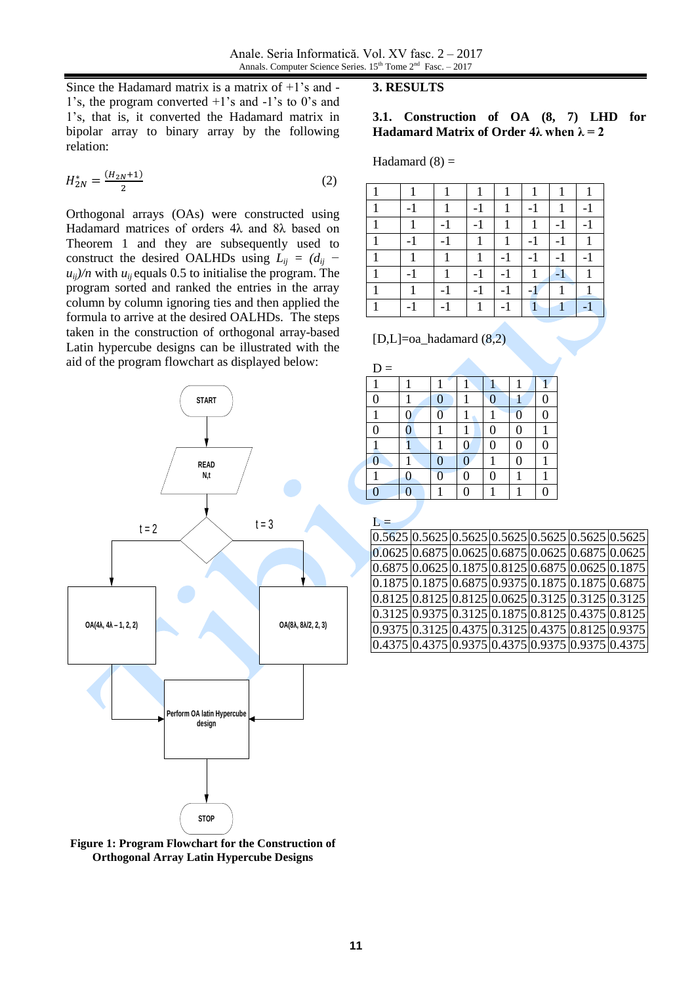Since the Hadamard matrix is a matrix of  $+1$ 's and -1's, the program converted +1's and -1's to 0's and 1's, that is, it converted the Hadamard matrix in bipolar array to binary array by the following relation:

$$
H_{2N}^* = \frac{(H_{2N}+1)}{2} \tag{2}
$$

Orthogonal arrays (OAs) were constructed using Hadamard matrices of orders 4λ and 8λ based on Theorem 1 and they are subsequently used to construct the desired OALHDs using  $L_{ii} = (d_{ii} - d_{ii})$  $u_{ij}/n$  with  $u_{ij}$  equals 0.5 to initialise the program. The program sorted and ranked the entries in the array column by column ignoring ties and then applied the formula to arrive at the desired OALHDs. The steps taken in the construction of orthogonal array-based Latin hypercube designs can be illustrated with the aid of the program flowchart as displayed below:





### **3. RESULTS**

### **3.1. Construction of OA (8, 7) LHD for Hadamard Matrix of Order 4λ when**  $\lambda = 2$

Hadamard  $(8)$  =

| $\overline{\phantom{0}}$ |   | -    | 1    | ٠    |      |  |
|--------------------------|---|------|------|------|------|--|
|                          |   | $-1$ | 1    | 1    |      |  |
| -                        |   |      |      | -1   |      |  |
|                          | 1 | 1    | $-1$ | $-1$ | $-1$ |  |
| $\overline{\phantom{a}}$ |   | ۰    | $-1$ |      |      |  |
|                          |   | -    |      |      |      |  |
|                          |   | 1    |      | 1    |      |  |
|                          |   |      |      |      |      |  |

 $[D,L]=$ oa hadamard  $(8,2)$ 

| $D =$            |   |                |   |   |   |   |
|------------------|---|----------------|---|---|---|---|
|                  |   |                |   |   |   |   |
| $\overline{0}$   |   | $\overline{0}$ |   |   |   | 0 |
|                  |   |                |   |   | 0 | 0 |
| $\boldsymbol{0}$ | 0 |                |   | 0 | 0 |   |
|                  |   |                | 0 | 0 | 0 | 0 |
| $\overline{0}$   |   | 0              |   |   | 0 |   |
|                  |   | 0              |   |   |   |   |
| O                |   |                |   |   |   | O |

# $L =$

|  | $0.5625 \, 0.5625 \, 0.5625 \, 0.5625 \, 0.5625 \, 0.5625 \, 0.5625$                  |  |  |                                                            |
|--|---------------------------------------------------------------------------------------|--|--|------------------------------------------------------------|
|  |                                                                                       |  |  | $[0.0625] 0.6875] 0.0625] 0.6875] 0.0625] 0.6875] 0.0625]$ |
|  | $0.6875 \mid 0.0625 \mid 0.1875 \mid 0.8125 \mid 0.6875 \mid 0.0625 \mid 0.1875 \mid$ |  |  |                                                            |
|  | $[0.1875]$ $[0.1875]$ $[0.6875]$ $[0.9375]$ $[0.1875]$ $[0.1875]$ $[0.6875]$          |  |  |                                                            |
|  | $[0.8125] 0.8125] 0.8125] 0.0625] 0.3125] 0.3125] 0.3125$                             |  |  |                                                            |
|  | $[0.3125]$ $[0.9375]$ $[0.3125]$ $[0.1875]$ $[0.8125]$ $[0.4375]$ $[0.8125]$          |  |  |                                                            |
|  | $0.9375 \mid 0.3125 \mid 0.4375 \mid 0.3125 \mid 0.4375 \mid 0.8125 \mid 0.9375 \mid$ |  |  |                                                            |
|  | $[0.4375]$ $[0.4375]$ $[0.9375]$ $[0.4375]$ $[0.9375]$ $[0.9375]$ $[0.4375]$          |  |  |                                                            |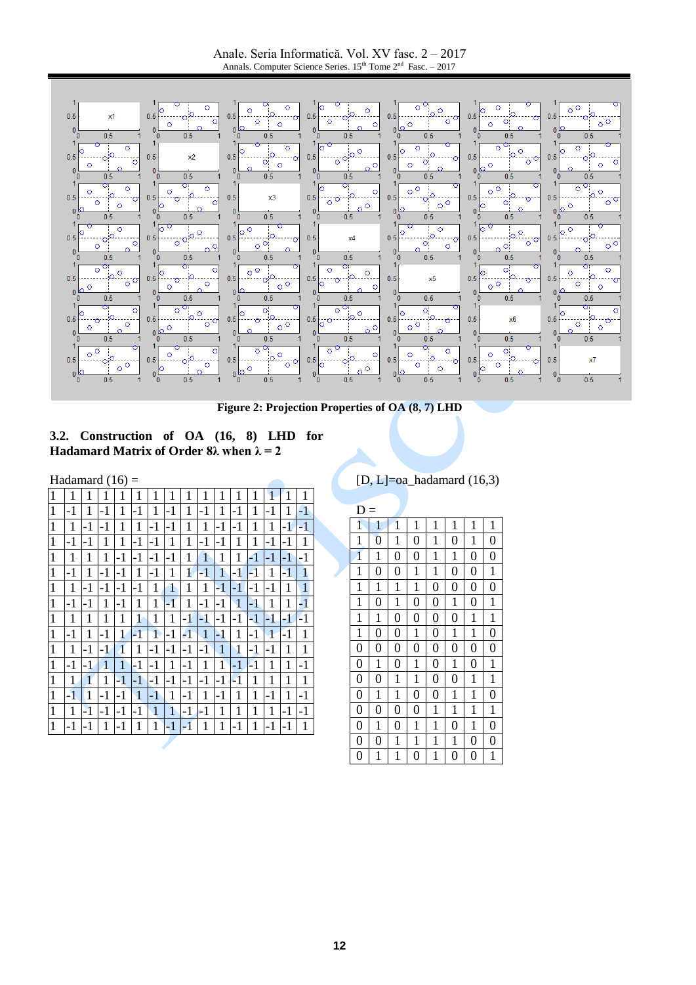Anale. Seria Informatică. Vol. XV fasc. 2 – 2017 Annals. Computer Science Series.  $15<sup>th</sup>$  Tome  $2<sup>nd</sup>$  Fasc.  $-2017$ 



**Figure 2: Projection Properties of OA (8, 7) LHD**



| Hadamard $(16)$ = |      |      |                |              |              |              |      |             |              |              |              |             |              |      |              |
|-------------------|------|------|----------------|--------------|--------------|--------------|------|-------------|--------------|--------------|--------------|-------------|--------------|------|--------------|
| 1                 | 1    | 1    | 1              | 1            | 1            | 1            | 1    | 1           | 1            | 1            | 1            | 1           | 1            | 1    | 1            |
| $\mathbf{1}$      | -1   | 1    | -1             | 1            | -1           | 1            | -1   | 1           | -1           | 1            | -1           | 1           | -1           | 1    | $-1$         |
| 1                 | 1    | -1   | -1             | 1            | 1            | -1           | -1   | 1           | 1            | $-1$         | -1           | 1           | 1            | -1   | $-1$         |
| $\mathbf{1}$      | -1   | $-1$ | 1              | 1            | $-1$         | $-1$         | 1    | 1           | $-1$         | $-1$         | 1            | 1           | $-1$         | -1   | 1            |
| $\mathbf{1}$      | 1    | 1    | 1              | -1           | $-1$         | $-1$         | $-1$ | 1           | 1            | 1            | 1            | -1          | $-1$         | $-1$ | -1           |
| 1                 | $-1$ | 1    | $-1$           | $-1$         | 1            | $-1$         | 1    | 1           | -1           | 1            | $-1$         | -1          | 1            | $-1$ | 1            |
| $\mathbf{1}$      | 1    | $-1$ | -1             | -1           | $-1$         | 1            | 1    | 1           | 1            | $\mathbf{1}$ | $-1$         | -1          | -1           | 1    | $\mathbf{1}$ |
| $\mathbf{1}$      | -1   | -1   | $\mathbf{1}$   | $-1$         | 1            | 1            | $-1$ | $\mathbf 1$ | $-1$         | $-1$         | $\mathbf{1}$ | $-1$        | 1            | 1    | -1           |
| $\mathbf{1}$      | 1    | 1    | 1              | 1            | 1            | 1            | 1    | -1          | -1           | $-1$         | $-1$         | $-1$        | $\mathbf{I}$ | -1   | -1           |
| 1                 | -1   | 1    | -1             | 1            | -1           | 1            | $-1$ | -1          | $\mathbf{1}$ | $-1$         | 1            | $-1$        | 1            | -1   | 1            |
| $\mathbf{1}$      | 1    | -1   | $-1$           | $\mathbf{1}$ | 1            | $-1$         | $-1$ | $-1$        | $-1$         | 1            | $\mathbf{1}$ | $-1$        | $-1$         | 1    | 1            |
| $\mathbf{1}$      | -1   | $-1$ | $\overline{1}$ | 1            | $-1$         | $-1$         | 1    | $-1$        | 1            | 1            | $-1$         | -1          | 1            | 1    | $-1$         |
| $\mathbf{1}$      | 1    | 1    | 1              | $-1$         | $-1$         | $-1$         | $-1$ | $-1$        | $-1$         | $-1$         | $-1$         | $\mathbf 1$ | 1            | 1    | 1            |
| $\mathbf{1}$      | -1   | 1    | $-1$           | -1           | $\mathbf{1}$ | -1           | 1    | $-1$        | 1            | $-1$         | 1            | 1           | $-1$         | 1    | -1           |
| 1                 | 1    | -1   | -1             | $-1$         | $-1$         | $\mathbf{1}$ | 1    | $-1$        | -1           | 1            | 1            | 1           | 1            | $-1$ | -1           |
| $\mathbf{1}$      | $-1$ | -1   | 1              | $-1$         | 1            | 1            | $-1$ | $-1$        | 1            | 1            | $-1$         | 1           | $-1$         | $-1$ | 1            |

 $[D, L] =$ oa hadamard (16,3)

| D                |                |                  |                |                  |                |                |                |
|------------------|----------------|------------------|----------------|------------------|----------------|----------------|----------------|
| 1                | 1              | 1                | 1              | 1                | 1              | 1              | 1              |
| 1                | $\overline{0}$ | $\mathbf{1}$     | $\overline{0}$ | 1                | $\overline{0}$ | 1              | $\overline{0}$ |
| $\overline{1}$   | 1              | $\overline{0}$   | $\overline{0}$ | 1                | $\mathbf{1}$   | $\overline{0}$ | $\overline{0}$ |
| 1                | $\overline{0}$ | $\overline{0}$   | 1              | 1                | $\overline{0}$ | $\overline{0}$ | 1              |
| 1                | 1              | $\mathbf{1}$     | 1              | $\overline{0}$   | $\overline{0}$ | $\overline{0}$ | $\overline{0}$ |
| $\mathbf{1}$     | $\overline{0}$ | $\mathbf{1}$     | $\overline{0}$ | $\overline{0}$   | $\mathbf 1$    | $\overline{0}$ | $\,1$          |
| 1                | 1              | $\overline{0}$   | $\overline{0}$ | $\overline{0}$   | $\overline{0}$ | 1              | $\mathbf{1}$   |
| 1                | $\overline{0}$ | $\overline{0}$   | 1              | $\overline{0}$   | 1              | 1              | $\overline{0}$ |
| $\boldsymbol{0}$ | $\overline{0}$ | $\boldsymbol{0}$ | $\overline{0}$ | $\boldsymbol{0}$ | $\overline{0}$ | $\overline{0}$ | $\overline{0}$ |
| $\overline{0}$   | 1              | $\overline{0}$   | 1              | $\overline{0}$   | 1              | $\overline{0}$ | 1              |
| $\overline{0}$   | $\overline{0}$ | $\mathbf 1$      | 1              | $\overline{0}$   | $\overline{0}$ | $\mathbf{1}$   | $\mathbf{1}$   |
| $\overline{0}$   | $\mathbf{1}$   | $\mathbf{1}$     | $\overline{0}$ | $\overline{0}$   | $\mathbf{1}$   | $\mathbf{1}$   | $\overline{0}$ |
| $\overline{0}$   | $\overline{0}$ | $\overline{0}$   | $\overline{0}$ | 1                | $\mathbf 1$    | 1              | $\mathbf{1}$   |
| $\overline{0}$   | 1              | $\overline{0}$   | 1              | 1                | $\overline{0}$ | 1              | $\overline{0}$ |
| $\overline{0}$   | $\overline{0}$ | $\mathbf 1$      | $\mathbf 1$    | 1                | $\mathbf 1$    | $\overline{0}$ | $\overline{0}$ |
| $\overline{0}$   | 1              | 1                | $\overline{0}$ | 1                | $\overline{0}$ | $\overline{0}$ | $\mathbf{1}$   |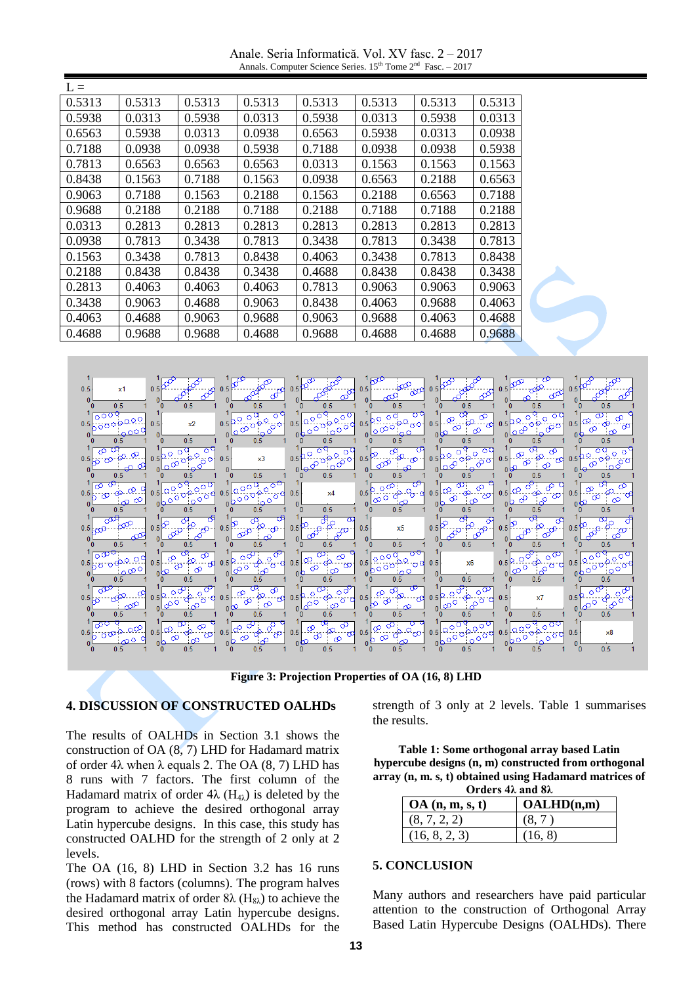Anale. Seria Informatică. Vol. XV fasc. 2 – 2017 Annals. Computer Science Series.  $15<sup>th</sup>$  Tome  $2<sup>nd</sup>$  Fasc.  $-2017$ 

| $L =$  |        |        |        |        |        |        |        |  |
|--------|--------|--------|--------|--------|--------|--------|--------|--|
| 0.5313 | 0.5313 | 0.5313 | 0.5313 | 0.5313 | 0.5313 | 0.5313 | 0.5313 |  |
| 0.5938 | 0.0313 | 0.5938 | 0.0313 | 0.5938 | 0.0313 | 0.5938 | 0.0313 |  |
| 0.6563 | 0.5938 | 0.0313 | 0.0938 | 0.6563 | 0.5938 | 0.0313 | 0.0938 |  |
| 0.7188 | 0.0938 | 0.0938 | 0.5938 | 0.7188 | 0.0938 | 0.0938 | 0.5938 |  |
| 0.7813 | 0.6563 | 0.6563 | 0.6563 | 0.0313 | 0.1563 | 0.1563 | 0.1563 |  |
| 0.8438 | 0.1563 | 0.7188 | 0.1563 | 0.0938 | 0.6563 | 0.2188 | 0.6563 |  |
| 0.9063 | 0.7188 | 0.1563 | 0.2188 | 0.1563 | 0.2188 | 0.6563 | 0.7188 |  |
| 0.9688 | 0.2188 | 0.2188 | 0.7188 | 0.2188 | 0.7188 | 0.7188 | 0.2188 |  |
| 0.0313 | 0.2813 | 0.2813 | 0.2813 | 0.2813 | 0.2813 | 0.2813 | 0.2813 |  |
| 0.0938 | 0.7813 | 0.3438 | 0.7813 | 0.3438 | 0.7813 | 0.3438 | 0.7813 |  |
| 0.1563 | 0.3438 | 0.7813 | 0.8438 | 0.4063 | 0.3438 | 0.7813 | 0.8438 |  |
| 0.2188 | 0.8438 | 0.8438 | 0.3438 | 0.4688 | 0.8438 | 0.8438 | 0.3438 |  |
| 0.2813 | 0.4063 | 0.4063 | 0.4063 | 0.7813 | 0.9063 | 0.9063 | 0.9063 |  |
| 0.3438 | 0.9063 | 0.4688 | 0.9063 | 0.8438 | 0.4063 | 0.9688 | 0.4063 |  |
| 0.4063 | 0.4688 | 0.9063 | 0.9688 | 0.9063 | 0.9688 | 0.4063 | 0.4688 |  |
| 0.4688 | 0.9688 | 0.9688 | 0.4688 | 0.9688 | 0.4688 | 0.4688 | 0.9688 |  |



**Figure 3: Projection Properties of OA (16, 8) LHD**

#### **4. DISCUSSION OF CONSTRUCTED OALHDs**

The results of OALHDs in Section 3.1 shows the construction of OA (8, 7) LHD for Hadamard matrix of order 4λ when λ equals 2. The OA (8, 7) LHD has 8 runs with 7 factors. The first column of the Hadamard matrix of order  $4\lambda$  (H<sub>4 $\lambda$ </sub>) is deleted by the program to achieve the desired orthogonal array Latin hypercube designs. In this case, this study has constructed OALHD for the strength of 2 only at 2 levels.

The OA (16, 8) LHD in Section 3.2 has 16 runs (rows) with 8 factors (columns). The program halves the Hadamard matrix of order  $8\lambda$  (H<sub>8 $\lambda$ </sub>) to achieve the desired orthogonal array Latin hypercube designs. This method has constructed OALHDs for the strength of 3 only at 2 levels. Table 1 summarises the results.

| Table 1: Some orthogonal array based Latin             |
|--------------------------------------------------------|
| hypercube designs (n, m) constructed from orthogonal   |
| array (n, m, s, t) obtained using Hadamard matrices of |
| Orders $4\lambda$ and $8\lambda$                       |

| $\sigma$ at $\sigma$ and $\sigma$ |            |  |  |  |  |  |  |
|-----------------------------------|------------|--|--|--|--|--|--|
| OA(n, m, s, t)                    | OALHD(n,m) |  |  |  |  |  |  |
| (8, 7, 2, 2)                      |            |  |  |  |  |  |  |
| (16, 8, 2, 3)                     | (16, 8)    |  |  |  |  |  |  |

### **5. CONCLUSION**

Many authors and researchers have paid particular attention to the construction of Orthogonal Array Based Latin Hypercube Designs (OALHDs). There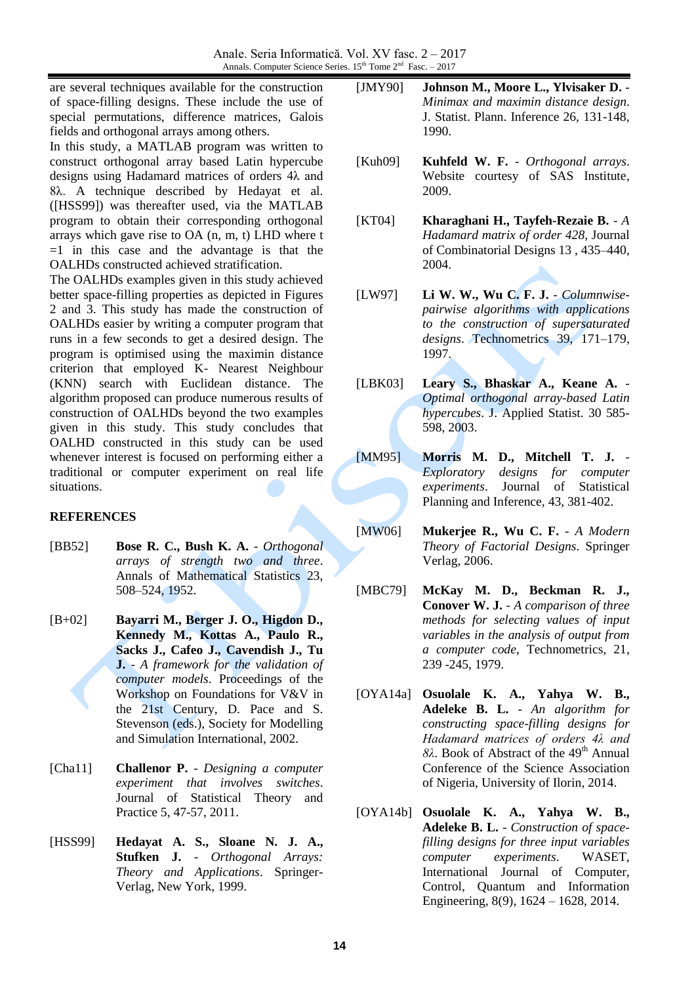are several techniques available for the construction of space-filling designs. These include the use of special permutations, difference matrices, Galois fields and orthogonal arrays among others.

In this study, a MATLAB program was written to construct orthogonal array based Latin hypercube designs using Hadamard matrices of orders 4λ and 8λ. A technique described by Hedayat et al. ([HSS99]) was thereafter used, via the MATLAB program to obtain their corresponding orthogonal arrays which gave rise to OA (n, m, t) LHD where t  $=1$  in this case and the advantage is that the OALHDs constructed achieved stratification.

The OALHDs examples given in this study achieved better space-filling properties as depicted in Figures 2 and 3. This study has made the construction of OALHDs easier by writing a computer program that runs in a few seconds to get a desired design. The program is optimised using the maximin distance criterion that employed K- Nearest Neighbour (KNN) search with Euclidean distance. The algorithm proposed can produce numerous results of construction of OALHDs beyond the two examples given in this study. This study concludes that OALHD constructed in this study can be used whenever interest is focused on performing either a traditional or computer experiment on real life situations.

## **REFERENCES**

- [BB52] **Bose R. C., Bush K. A.** *Orthogonal arrays of strength two and three*. Annals of Mathematical Statistics 23, 508–524, 1952.
- [B+02] **Bayarri M., Berger J. O., Higdon D., Kennedy M., Kottas A., Paulo R., Sacks J., Cafeo J., Cavendish J., Tu J.** - *A framework for the validation of computer models*. Proceedings of the Workshop on Foundations for V&V in the 21st Century, D. Pace and S. Stevenson (eds.), Society for Modelling and Simulation International, 2002.
- [Cha11] **Challenor P.** *Designing a computer experiment that involves switches*. Journal of Statistical Theory and Practice 5, 47-57, 2011.
- [HSS99] **Hedayat A. S., Sloane N. J. A., Stufken J.** - *Orthogonal Arrays: Theory and Applications*. Springer-Verlag, New York, 1999.
- [JMY90] **Johnson M., Moore L., Ylvisaker D.** *Minimax and maximin distance design*. J. Statist. Plann. Inference 26, 131-148, 1990.
- [Kuh09] **Kuhfeld W. F.** *Orthogonal arrays*. Website courtesy of SAS Institute, 2009.
- [KT04] **Kharaghani H., Tayfeh-Rezaie B.** *A Hadamard matrix of order 428*, Journal of Combinatorial Designs 13 , 435–440, 2004.
- [LW97] **Li W. W., Wu C. F. J.** *Columnwisepairwise algorithms with applications to the construction of supersaturated designs*. Technometrics 39, 171–179, 1997.
- [LBK03] **Leary S., Bhaskar A., Keane A.** *Optimal orthogonal array-based Latin hypercubes*. J. Applied Statist. 30 585- 598, 2003.
- [MM95] **Morris M. D., Mitchell T. J.** *Exploratory designs for computer experiments*. Journal of Statistical Planning and Inference, 43, 381-402.
- [MW06] **Mukerjee R., Wu C. F.** *A Modern Theory of Factorial Designs*. Springer Verlag, 2006.
- [MBC79] **McKay M. D., Beckman R. J., Conover W. J.** - *A comparison of three methods for selecting values of input variables in the analysis of output from a computer code*, Technometrics, 21, 239 -245, 1979.
- [OYA14a] **Osuolale K. A., Yahya W. B., Adeleke B. L.** - *An algorithm for constructing space-filling designs for Hadamard matrices of orders 4λ and 8λ*. Book of Abstract of the 49<sup>th</sup> Annual Conference of the Science Association of Nigeria, University of Ilorin, 2014.
- [OYA14b] **Osuolale K. A., Yahya W. B., Adeleke B. L.** - *Construction of spacefilling designs for three input variables computer experiments*. WASET, International Journal of Computer, Control, Quantum and Information Engineering, 8(9), 1624 – 1628, 2014.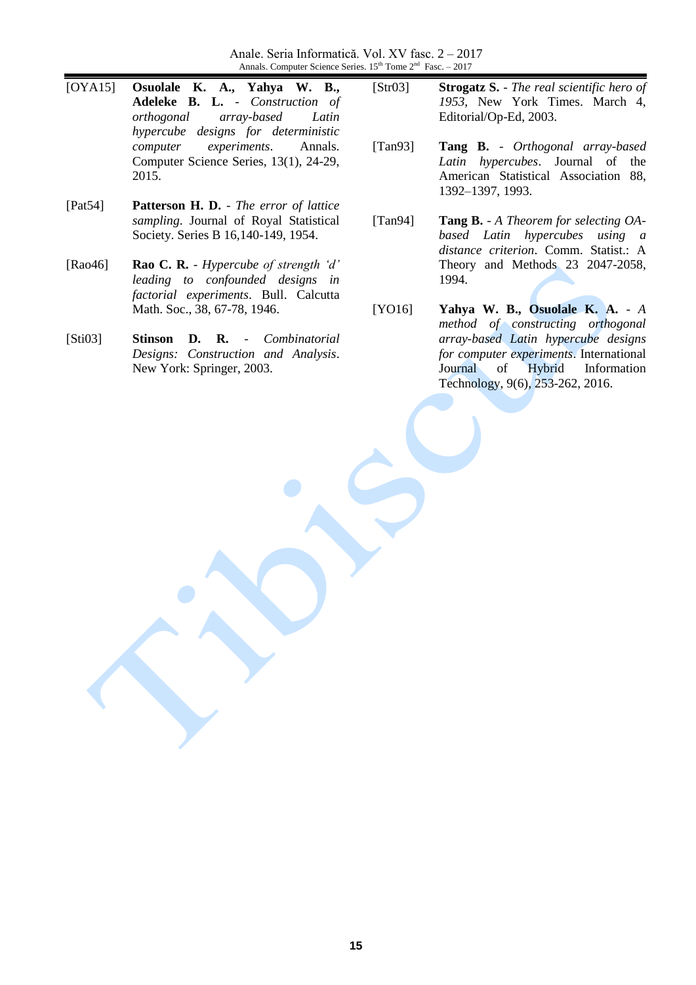Anale. Seria Informatică. Vol. XV fasc. 2 – 2017 Annals. Computer Science Series.  $15<sup>th</sup>$  Tome  $2<sup>nd</sup>$  Fasc.  $-2017$ 

- [OYA15] **Osuolale K. A., Yahya W. B., Adeleke B. L.** - *Construction of orthogonal array-based Latin hypercube designs for deterministic computer experiments*. Annals. Computer Science Series, 13(1), 24-29, 2015.
- [Pat54] **Patterson H. D.** *The error of lattice sampling*. Journal of Royal Statistical Society. Series B 16,140-149, 1954.
- [Rao46] **Rao C. R.** *Hypercube of strength 'd' leading to confounded designs in factorial experiments*. Bull. Calcutta Math. Soc., 38, 67-78, 1946.
- [Sti03] **Stinson D. R.** *Combinatorial Designs: Construction and Analysis*. New York: Springer, 2003.

[Str03] **Strogatz S.** - *The real scientific hero of 1953*, New York Times. March 4, Editorial/Op-Ed, 2003.

- [Tan93] **Tang B.** *Orthogonal array-based Latin hypercubes*. Journal of the American Statistical Association 88, 1392–1397, 1993.
- [Tan94] **Tang B.** *A Theorem for selecting OAbased Latin hypercubes using a distance criterion*. Comm. Statist.: A Theory and Methods 23 2047-2058, 1994.
- [YO16] **Yahya W. B., Osuolale K. A.** *A method of constructing orthogonal array-based Latin hypercube designs for computer experiments*. International Journal of Hybrid Information Technology, 9(6), 253-262, 2016.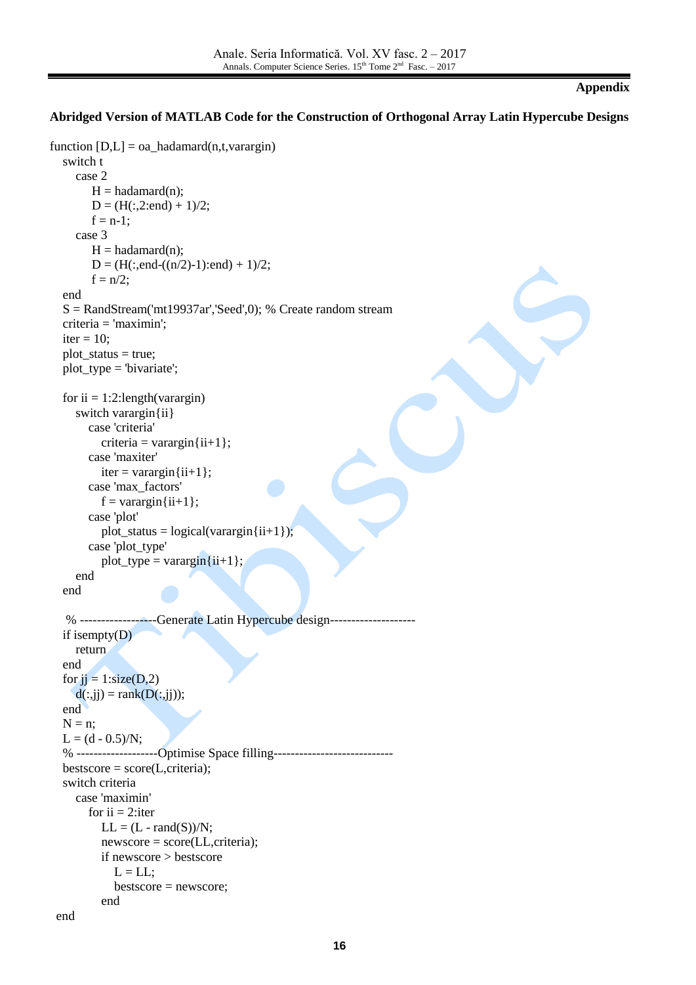#### **Appendix**

### **Abridged Version of MATLAB Code for the Construction of Orthogonal Array Latin Hypercube Designs**

```
function [D,L] = oa\_hadamard(n,t,varargin) switch t
      case 2
         H = \text{hadamard}(n);D = (H(:,2:end) + 1)/2;f = n-1;
      case 3 
         H = hadamard(n);D = (H(:,end-(n/2)-1):end) + 1)/2;f = n/2;
    end 
   S = \text{RandStream}(\text{int}19937ar\text{'},\text{Seed}\text{'},0); % Create random stream
    criteria = 'maximin';
   iter = 10;
   plot status = true;
   plot_type = 'bivariate';for ii = 1:2: length (varargin)
      switch varargin{ii} 
         case 'criteria'
           criteria = varargin\{ii+1\}:
         case 'maxiter'
           iter = varargin{ii+1}; case 'max_factors'
           f = varargin\{ii+1\}; case 'plot'
           plot_status = logical(varargin{ii+1});
         case 'plot_type'
           plot type = varargin\{ii+1\};
      end
    end
    % ------------------Generate Latin Hypercube design--------------------
    if isempty(D)
      return
    end
   for ji = 1:size(D,2)
     d(:,jj) = rank(D(:,jj)); end
   N = n;
   L = (d - 0.5)/N; % -------------------Optimise Space filling----------------------------
   bestscore = score(L,criteria); switch criteria
      case 'maximin'
        for ii = 2: iter
           LL = (L - rand(S))/N; newscore = score(LL,criteria); 
            if newscore > bestscore
             L = LL;
              bestscore = newscore;
            end
  end
```